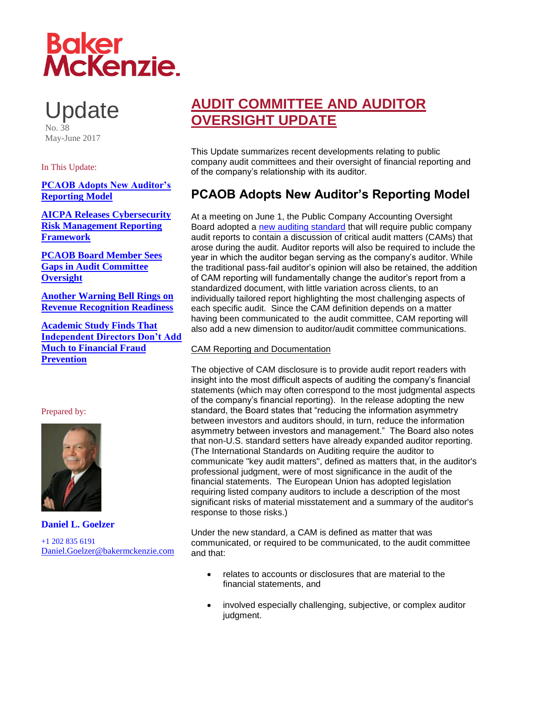# **Baker<br>McKenzie.**

**Update** No. 38 May-June 2017

# In This Update:

<span id="page-0-0"></span>**[PCAOB Adopts New Auditor's](#page-0-0)  [Reporting Model](#page-0-0)**

**[AICPA Releases Cybersecurity](#page-3-0)  [Risk Management Reporting](#page-3-0)  [Framework](#page-3-0)**

**[PCAOB Board Member Sees](#page-6-0)  [Gaps in Audit Committee](#page-6-0)  [Oversight](#page-6-0)**

**[Another Warning Bell Rings on](#page-7-0)  [Revenue Recognition Readiness](#page-7-0)**

**[Academic Study Finds That](#page-10-0)  [Independent Directors Don't Add](#page-10-0)  [Much to Financial Fraud](#page-10-0)  [Prevention](#page-10-0)**

# Prepared by:



**Daniel L. Goelzer**

+1 202 835 6191 [Daniel.Goelzer@bakermckenzie.com](mailto:Daniel.Goelzer@bakermckenzie.com)

# **AUDIT COMMITTEE AND AUDITOR OVERSIGHT UPDATE**

This Update summarizes recent developments relating to public company audit committees and their oversight of financial reporting and of the company's relationship with its auditor.

# **PCAOB Adopts New Auditor's Reporting Model**

At a meeting on June 1, the Public Company Accounting Oversight Board adopted a [new auditing standard](https://pcaobus.org/Rulemaking/Docket034/2017-001-auditors-report-final-rule.pdf) that will require public company audit reports to contain a discussion of critical audit matters (CAMs) that arose during the audit. Auditor reports will also be required to include the year in which the auditor began serving as the company's auditor. While the traditional pass-fail auditor's opinion will also be retained, the addition of CAM reporting will fundamentally change the auditor's report from a standardized document, with little variation across clients, to an individually tailored report highlighting the most challenging aspects of each specific audit. Since the CAM definition depends on a matter having been communicated to the audit committee, CAM reporting will also add a new dimension to auditor/audit committee communications.

# CAM Reporting and Documentation

The objective of CAM disclosure is to provide audit report readers with insight into the most difficult aspects of auditing the company's financial statements (which may often correspond to the most judgmental aspects of the company's financial reporting). In the release adopting the new standard, the Board states that "reducing the information asymmetry between investors and auditors should, in turn, reduce the information asymmetry between investors and management." The Board also notes that non-U.S. standard setters have already expanded auditor reporting. (The International Standards on Auditing require the auditor to communicate "key audit matters", defined as matters that, in the auditor's professional judgment, were of most significance in the audit of the financial statements. The European Union has adopted legislation requiring listed company auditors to include a description of the most significant risks of material misstatement and a summary of the auditor's response to those risks.)

Under the new standard, a CAM is defined as matter that was communicated, or required to be communicated, to the audit committee and that:

- relates to accounts or disclosures that are material to the financial statements, and
- involved especially challenging, subjective, or complex auditor judgment.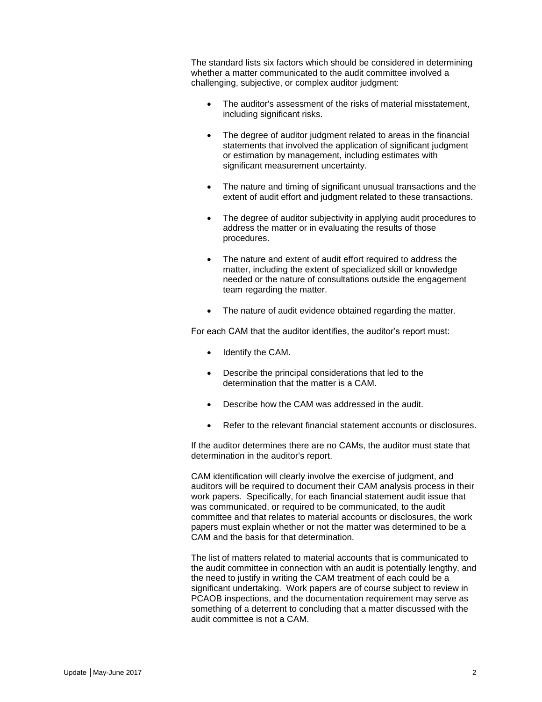The standard lists six factors which should be considered in determining whether a matter communicated to the audit committee involved a challenging, subjective, or complex auditor judgment:

- The auditor's assessment of the risks of material misstatement, including significant risks.
- The degree of auditor judgment related to areas in the financial statements that involved the application of significant judgment or estimation by management, including estimates with significant measurement uncertainty.
- The nature and timing of significant unusual transactions and the extent of audit effort and judgment related to these transactions.
- The degree of auditor subjectivity in applying audit procedures to address the matter or in evaluating the results of those procedures.
- The nature and extent of audit effort required to address the matter, including the extent of specialized skill or knowledge needed or the nature of consultations outside the engagement team regarding the matter.
- The nature of audit evidence obtained regarding the matter.

For each CAM that the auditor identifies, the auditor's report must:

- Identify the CAM.
- Describe the principal considerations that led to the determination that the matter is a CAM.
- Describe how the CAM was addressed in the audit.
- Refer to the relevant financial statement accounts or disclosures.

If the auditor determines there are no CAMs, the auditor must state that determination in the auditor's report.

CAM identification will clearly involve the exercise of judgment, and auditors will be required to document their CAM analysis process in their work papers. Specifically, for each financial statement audit issue that was communicated, or required to be communicated, to the audit committee and that relates to material accounts or disclosures, the work papers must explain whether or not the matter was determined to be a CAM and the basis for that determination.

The list of matters related to material accounts that is communicated to the audit committee in connection with an audit is potentially lengthy, and the need to justify in writing the CAM treatment of each could be a significant undertaking. Work papers are of course subject to review in PCAOB inspections, and the documentation requirement may serve as something of a deterrent to concluding that a matter discussed with the audit committee is not a CAM.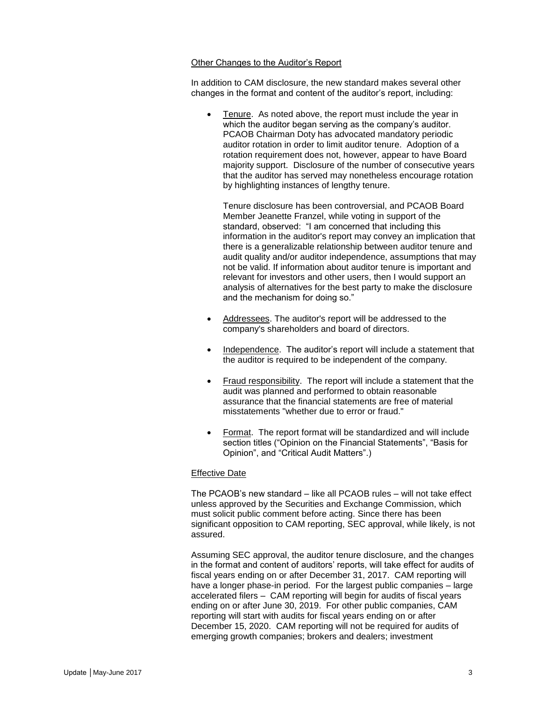### Other Changes to the Auditor's Report

In addition to CAM disclosure, the new standard makes several other changes in the format and content of the auditor's report, including:

 Tenure. As noted above, the report must include the year in which the auditor began serving as the company's auditor. PCAOB Chairman Doty has advocated mandatory periodic auditor rotation in order to limit auditor tenure. Adoption of a rotation requirement does not, however, appear to have Board majority support. Disclosure of the number of consecutive years that the auditor has served may nonetheless encourage rotation by highlighting instances of lengthy tenure.

Tenure disclosure has been controversial, and PCAOB Board Member Jeanette Franzel, while voting in support of the standard, observed: "I am concerned that including this information in the auditor's report may convey an implication that there is a generalizable relationship between auditor tenure and audit quality and/or auditor independence, assumptions that may not be valid. If information about auditor tenure is important and relevant for investors and other users, then I would support an analysis of alternatives for the best party to make the disclosure and the mechanism for doing so."

- Addressees. The auditor's report will be addressed to the company's shareholders and board of directors.
- Independence. The auditor's report will include a statement that the auditor is required to be independent of the company.
- Fraud responsibility. The report will include a statement that the audit was planned and performed to obtain reasonable assurance that the financial statements are free of material misstatements "whether due to error or fraud."
- Format. The report format will be standardized and will include section titles ("Opinion on the Financial Statements", "Basis for Opinion", and "Critical Audit Matters".)

# Effective Date

The PCAOB's new standard – like all PCAOB rules – will not take effect unless approved by the Securities and Exchange Commission, which must solicit public comment before acting. Since there has been significant opposition to CAM reporting, SEC approval, while likely, is not assured.

Assuming SEC approval, the auditor tenure disclosure, and the changes in the format and content of auditors' reports, will take effect for audits of fiscal years ending on or after December 31, 2017. CAM reporting will have a longer phase-in period. For the largest public companies – large accelerated filers – CAM reporting will begin for audits of fiscal years ending on or after June 30, 2019. For other public companies, CAM reporting will start with audits for fiscal years ending on or after December 15, 2020. CAM reporting will not be required for audits of emerging growth companies; brokers and dealers; investment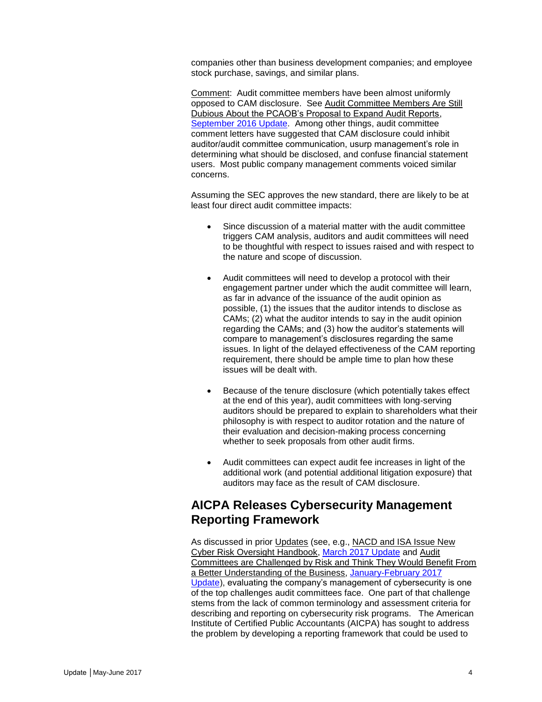companies other than business development companies; and employee stock purchase, savings, and similar plans.

Comment: Audit committee members have been almost uniformly opposed to CAM disclosure. See Audit Committee Members Are Still Dubious About the PCAOB's Proposal to Expand Audit Reports, [September 2016 Update.](http://www.bakermckenzie.com/-/media/files/insight/publications/2016/09/audit-committee-auditor-oversight-update/nl_na_auditupdate_sep16.pdf?la=en) Among other things, audit committee comment letters have suggested that CAM disclosure could inhibit auditor/audit committee communication, usurp management's role in determining what should be disclosed, and confuse financial statement users. Most public company management comments voiced similar concerns.

Assuming the SEC approves the new standard, there are likely to be at least four direct audit committee impacts:

- Since discussion of a material matter with the audit committee triggers CAM analysis, auditors and audit committees will need to be thoughtful with respect to issues raised and with respect to the nature and scope of discussion.
- Audit committees will need to develop a protocol with their engagement partner under which the audit committee will learn, as far in advance of the issuance of the audit opinion as possible, (1) the issues that the auditor intends to disclose as CAMs; (2) what the auditor intends to say in the audit opinion regarding the CAMs; and (3) how the auditor's statements will compare to management's disclosures regarding the same issues. In light of the delayed effectiveness of the CAM reporting requirement, there should be ample time to plan how these issues will be dealt with.
- Because of the tenure disclosure (which potentially takes effect at the end of this year), audit committees with long-serving auditors should be prepared to explain to shareholders what their philosophy is with respect to auditor rotation and the nature of their evaluation and decision-making process concerning whether to seek proposals from other audit firms.
- Audit committees can expect audit fee increases in light of the additional work (and potential additional litigation exposure) that auditors may face as the result of CAM disclosure.

# <span id="page-3-0"></span>**AICPA Releases Cybersecurity Management Reporting Framework**

As discussed in prior Updates (see, e.g., NACD and ISA Issue New Cyber Risk Oversight Handbook, [March 2017 Update](http://www.bakermckenzie.com/-/media/files/insight/publications/2017/03/al_na_auditupdate_20170330.pdf?la=en) and Audit Committees are Challenged by Risk and Think They Would Benefit From a Better Understanding of the Business, [January-February 2017](http://www.bakermckenzie.com/-/media/files/insight/publications/2017/02/audit-committee-auditor-oversight-janfeb-2017/nl_auditcommitteeauditoroversight_jan2017.pdf?la=en)  [Update\)](http://www.bakermckenzie.com/-/media/files/insight/publications/2017/02/audit-committee-auditor-oversight-janfeb-2017/nl_auditcommitteeauditoroversight_jan2017.pdf?la=en), evaluating the company's management of cybersecurity is one of the top challenges audit committees face. One part of that challenge stems from the lack of common terminology and assessment criteria for describing and reporting on cybersecurity risk programs. The American Institute of Certified Public Accountants (AICPA) has sought to address the problem by developing a reporting framework that could be used to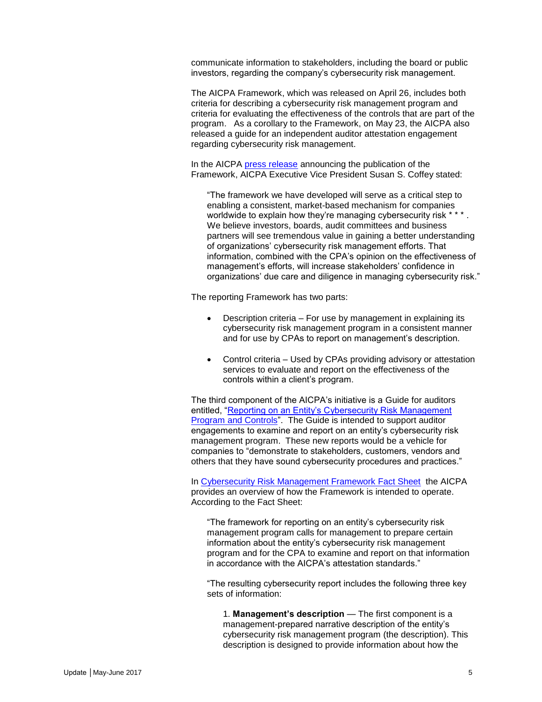communicate information to stakeholders, including the board or public investors, regarding the company's cybersecurity risk management.

The AICPA Framework, which was released on April 26, includes both criteria for describing a cybersecurity risk management program and criteria for evaluating the effectiveness of the controls that are part of the program. As a corollary to the Framework, on May 23, the AICPA also released a guide for an independent auditor attestation engagement regarding cybersecurity risk management.

In the AICPA [press release](http://www.businesswire.com/news/home/20170426005204/en/AICPA-Unveils-Cybersecurity-Risk-Management-Reporting-Framework) announcing the publication of the Framework, AICPA Executive Vice President Susan S. Coffey stated:

"The framework we have developed will serve as a critical step to enabling a consistent, market-based mechanism for companies worldwide to explain how they're managing cybersecurity risk \* \* : We believe investors, boards, audit committees and business partners will see tremendous value in gaining a better understanding of organizations' cybersecurity risk management efforts. That information, combined with the CPA's opinion on the effectiveness of management's efforts, will increase stakeholders' confidence in organizations' due care and diligence in managing cybersecurity risk."

The reporting Framework has two parts:

- Description criteria For use by management in explaining its cybersecurity risk management program in a consistent manner and for use by CPAs to report on management's description.
- Control criteria Used by CPAs providing advisory or attestation services to evaluate and report on the effectiveness of the controls within a client's program.

The third component of the AICPA's initiative is a Guide for auditors entitled, ["Reporting on an Entity's Cybersecurity Risk Management](http://www.aicpastore.com/AuditAttest/reporting-on-an-entity-s-cybersecurity-risk-manage/PRDOVR~PC-AAGCYB/PC-AAGCYB.jsp?cm_vc=PDPZ1)  [Program and Controls"](http://www.aicpastore.com/AuditAttest/reporting-on-an-entity-s-cybersecurity-risk-manage/PRDOVR~PC-AAGCYB/PC-AAGCYB.jsp?cm_vc=PDPZ1). The Guide is intended to support auditor engagements to examine and report on an entity's cybersecurity risk management program. These new reports would be a vehicle for companies to "demonstrate to stakeholders, customers, vendors and others that they have sound cybersecurity procedures and practices."

In [Cybersecurity Risk Management Framework Fact Sheet](https://www.aicpa.org/InterestAreas/FRC/AssuranceAdvisoryServices/DownloadableDocuments/Cybersecurity-Fact-Sheet.PDF) the AICPA provides an overview of how the Framework is intended to operate. According to the Fact Sheet:

"The framework for reporting on an entity's cybersecurity risk management program calls for management to prepare certain information about the entity's cybersecurity risk management program and for the CPA to examine and report on that information in accordance with the AICPA's attestation standards."

"The resulting cybersecurity report includes the following three key sets of information:

1. **Management's description** — The first component is a management-prepared narrative description of the entity's cybersecurity risk management program (the description). This description is designed to provide information about how the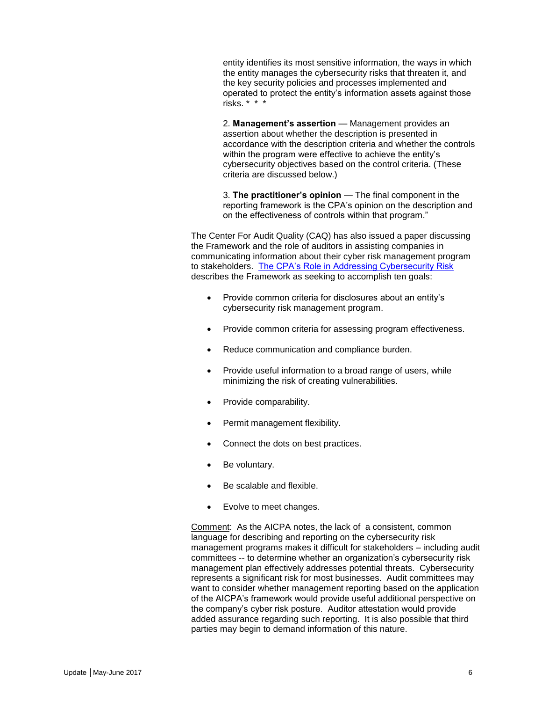entity identifies its most sensitive information, the ways in which the entity manages the cybersecurity risks that threaten it, and the key security policies and processes implemented and operated to protect the entity's information assets against those risks. \* \* \*

2. **Management's assertion** — Management provides an assertion about whether the description is presented in accordance with the description criteria and whether the controls within the program were effective to achieve the entity's cybersecurity objectives based on the control criteria. (These criteria are discussed below.)

3. **The practitioner's opinion** — The final component in the reporting framework is the CPA's opinion on the description and on the effectiveness of controls within that program."

The Center For Audit Quality (CAQ) has also issued a paper discussing the Framework and the role of auditors in assisting companies in communicating information about their cyber risk management program to stakeholders. [The CPA's Role in Addressing Cybersecurity Risk](http://thecaq.org/cpas-role-addressing-cybersecurity-risk) describes the Framework as seeking to accomplish ten goals:

- Provide common criteria for disclosures about an entity's cybersecurity risk management program.
- Provide common criteria for assessing program effectiveness.
- Reduce communication and compliance burden.
- Provide useful information to a broad range of users, while minimizing the risk of creating vulnerabilities.
- Provide comparability.
- Permit management flexibility.
- Connect the dots on best practices.
- Be voluntary.
- Be scalable and flexible.
- Evolve to meet changes.

Comment: As the AICPA notes, the lack of a consistent, common language for describing and reporting on the cybersecurity risk management programs makes it difficult for stakeholders – including audit committees -- to determine whether an organization's cybersecurity risk management plan effectively addresses potential threats. Cybersecurity represents a significant risk for most businesses. Audit committees may want to consider whether management reporting based on the application of the AICPA's framework would provide useful additional perspective on the company's cyber risk posture. Auditor attestation would provide added assurance regarding such reporting. It is also possible that third parties may begin to demand information of this nature.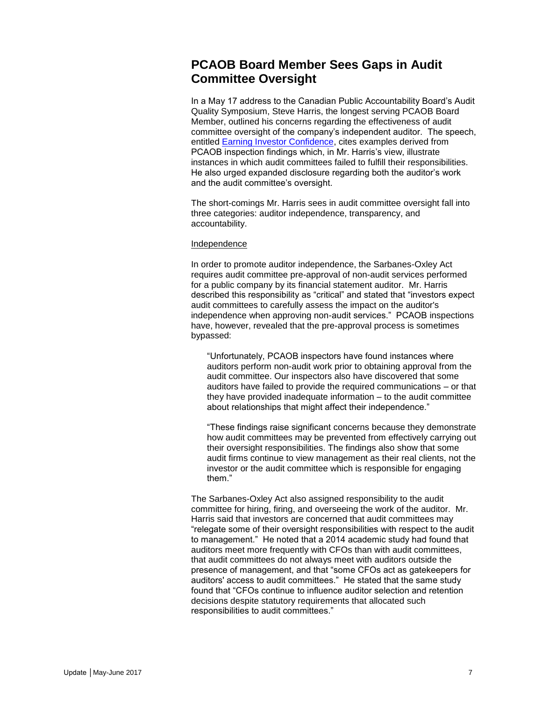# <span id="page-6-0"></span>**PCAOB Board Member Sees Gaps in Audit Committee Oversight**

In a May 17 address to the Canadian Public Accountability Board's Audit Quality Symposium, Steve Harris, the longest serving PCAOB Board Member, outlined his concerns regarding the effectiveness of audit committee oversight of the company's independent auditor. The speech, entitled [Earning Investor Confidence,](https://pcaobus.org/News/Speech/Pages/Harris-speech-CPAB-5-17-17.aspx) cites examples derived from PCAOB inspection findings which, in Mr. Harris's view, illustrate instances in which audit committees failed to fulfill their responsibilities. He also urged expanded disclosure regarding both the auditor's work and the audit committee's oversight.

The short-comings Mr. Harris sees in audit committee oversight fall into three categories: auditor independence, transparency, and accountability.

### Independence

In order to promote auditor independence, the Sarbanes-Oxley Act requires audit committee pre-approval of non-audit services performed for a public company by its financial statement auditor. Mr. Harris described this responsibility as "critical" and stated that "investors expect audit committees to carefully assess the impact on the auditor's independence when approving non-audit services." PCAOB inspections have, however, revealed that the pre-approval process is sometimes bypassed:

"Unfortunately, PCAOB inspectors have found instances where auditors perform non-audit work prior to obtaining approval from the audit committee. Our inspectors also have discovered that some auditors have failed to provide the required communications – or that they have provided inadequate information – to the audit committee about relationships that might affect their independence."

"These findings raise significant concerns because they demonstrate how audit committees may be prevented from effectively carrying out their oversight responsibilities. The findings also show that some audit firms continue to view management as their real clients, not the investor or the audit committee which is responsible for engaging them."

The Sarbanes-Oxley Act also assigned responsibility to the audit committee for hiring, firing, and overseeing the work of the auditor. Mr. Harris said that investors are concerned that audit committees may "relegate some of their oversight responsibilities with respect to the audit to management." He noted that a 2014 academic study had found that auditors meet more frequently with CFOs than with audit committees, that audit committees do not always meet with auditors outside the presence of management, and that "some CFOs act as gatekeepers for auditors' access to audit committees." He stated that the same study found that "CFOs continue to influence auditor selection and retention decisions despite statutory requirements that allocated such responsibilities to audit committees."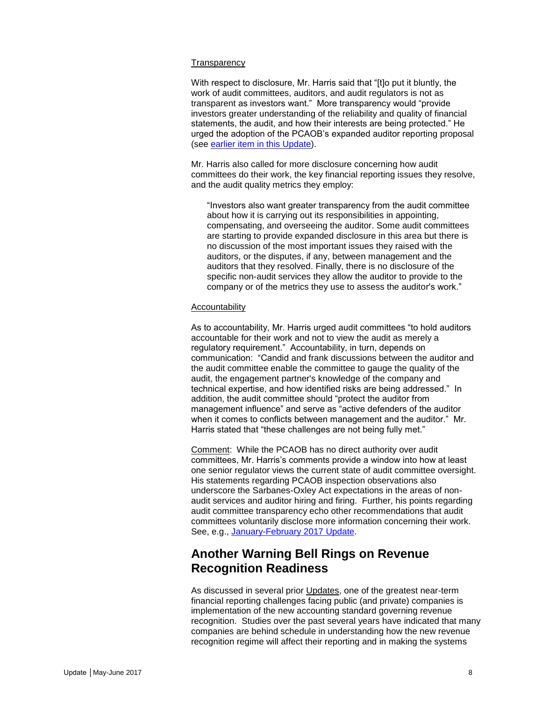### **Transparency**

With respect to disclosure, Mr. Harris said that "[t]o put it bluntly, the work of audit committees, auditors, and audit regulators is not as transparent as investors want." More transparency would "provide investors greater understanding of the reliability and quality of financial statements, the audit, and how their interests are being protected." He urged the adoption of the PCAOB's expanded auditor reporting proposal (see [earlier item in this Update\)](#page-0-0).

Mr. Harris also called for more disclosure concerning how audit committees do their work, the key financial reporting issues they resolve, and the audit quality metrics they employ:

"Investors also want greater transparency from the audit committee about how it is carrying out its responsibilities in appointing, compensating, and overseeing the auditor. Some audit committees are starting to provide expanded disclosure in this area but there is no discussion of the most important issues they raised with the auditors, or the disputes, if any, between management and the auditors that they resolved. Finally, there is no disclosure of the specific non-audit services they allow the auditor to provide to the company or of the metrics they use to assess the auditor's work."

### Accountability

As to accountability, Mr. Harris urged audit committees "to hold auditors accountable for their work and not to view the audit as merely a regulatory requirement." Accountability, in turn, depends on communication: "Candid and frank discussions between the auditor and the audit committee enable the committee to gauge the quality of the audit, the engagement partner's knowledge of the company and technical expertise, and how identified risks are being addressed." In addition, the audit committee should "protect the auditor from management influence" and serve as "active defenders of the auditor when it comes to conflicts between management and the auditor." Mr. Harris stated that "these challenges are not being fully met."

Comment: While the PCAOB has no direct authority over audit committees, Mr. Harris's comments provide a window into how at least one senior regulator views the current state of audit committee oversight. His statements regarding PCAOB inspection observations also underscore the Sarbanes-Oxley Act expectations in the areas of nonaudit services and auditor hiring and firing. Further, his points regarding audit committee transparency echo other recommendations that audit committees voluntarily disclose more information concerning their work. See, e.g., [January-February 2017](http://www.bakermckenzie.com/-/media/files/insight/publications/2017/02/audit-committee-auditor-oversight-janfeb-2017/nl_auditcommitteeauditoroversight_jan2017.pdf?la=en) Update.

# <span id="page-7-0"></span>**Another Warning Bell Rings on Revenue Recognition Readiness**

As discussed in several prior Updates, one of the greatest near-term financial reporting challenges facing public (and private) companies is implementation of the new accounting standard governing revenue recognition. Studies over the past several years have indicated that many companies are behind schedule in understanding how the new revenue recognition regime will affect their reporting and in making the systems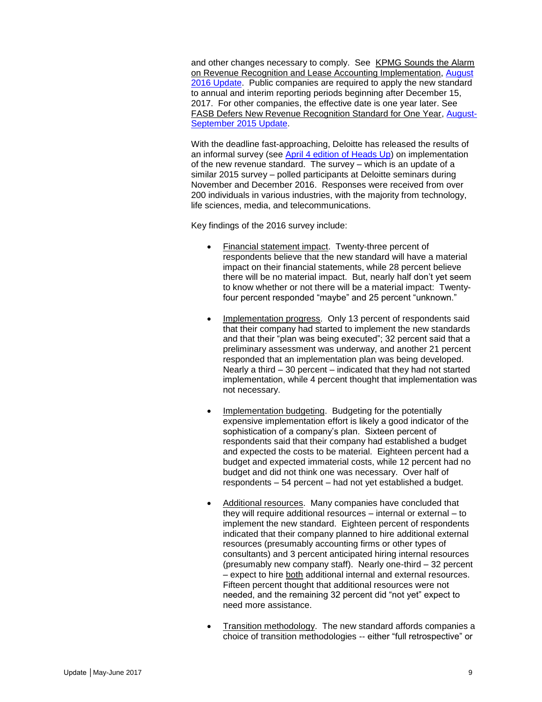and other changes necessary to comply. See KPMG Sounds the Alarm on Revenue Recognition and Lease Accounting Implementation, [August](http://www.bakermckenzie.com/-/media/files/insight/publications/2016/08/audit-committee-and-auditor-oversight-committee/nl_na_auditupdate_aug16.pdf?la=en)  [2016 Update.](http://www.bakermckenzie.com/-/media/files/insight/publications/2016/08/audit-committee-and-auditor-oversight-committee/nl_na_auditupdate_aug16.pdf?la=en) Public companies are required to apply the new standard to annual and interim reporting periods beginning after December 15, 2017. For other companies, the effective date is one year later. See FASB Defers New Revenue Recognition Standard for One Year, [August-](http://www.bakermckenzie.com/-/media/files/insight/publications/2015/09/august-september-2015/nl_washington_auditupdate23_aug15.pdf?la=en)[September 2015 Update.](http://www.bakermckenzie.com/-/media/files/insight/publications/2015/09/august-september-2015/nl_washington_auditupdate23_aug15.pdf?la=en)

With the deadline fast-approaching, Deloitte has released the results of an informal survey (see [April 4 edition of Heads Up\)](https://www2.deloitte.com/us/en/pages/audit/articles/heads-up-newsletter.html) on implementation of the new revenue standard. The survey – which is an update of a similar 2015 survey – polled participants at Deloitte seminars during November and December 2016. Responses were received from over 200 individuals in various industries, with the majority from technology, life sciences, media, and telecommunications.

Key findings of the 2016 survey include:

- Financial statement impact. Twenty-three percent of respondents believe that the new standard will have a material impact on their financial statements, while 28 percent believe there will be no material impact. But, nearly half don't yet seem to know whether or not there will be a material impact: Twentyfour percent responded "maybe" and 25 percent "unknown."
- Implementation progress. Only 13 percent of respondents said that their company had started to implement the new standards and that their "plan was being executed"; 32 percent said that a preliminary assessment was underway, and another 21 percent responded that an implementation plan was being developed. Nearly a third – 30 percent – indicated that they had not started implementation, while 4 percent thought that implementation was not necessary.
- Implementation budgeting. Budgeting for the potentially expensive implementation effort is likely a good indicator of the sophistication of a company's plan. Sixteen percent of respondents said that their company had established a budget and expected the costs to be material. Eighteen percent had a budget and expected immaterial costs, while 12 percent had no budget and did not think one was necessary. Over half of respondents – 54 percent – had not yet established a budget.
- Additional resources. Many companies have concluded that they will require additional resources – internal or external – to implement the new standard. Eighteen percent of respondents indicated that their company planned to hire additional external resources (presumably accounting firms or other types of consultants) and 3 percent anticipated hiring internal resources (presumably new company staff). Nearly one-third – 32 percent – expect to hire both additional internal and external resources. Fifteen percent thought that additional resources were not needed, and the remaining 32 percent did "not yet" expect to need more assistance.
- Transition methodology. The new standard affords companies a choice of transition methodologies -- either "full retrospective" or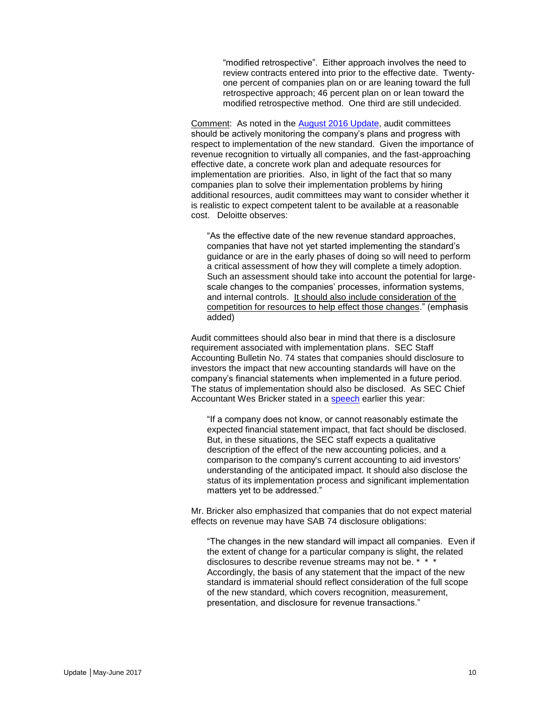"modified retrospective". Either approach involves the need to review contracts entered into prior to the effective date. Twentyone percent of companies plan on or are leaning toward the full retrospective approach; 46 percent plan on or lean toward the modified retrospective method. One third are still undecided.

Comment: As noted in the [August 2016 Update,](http://www.bakermckenzie.com/-/media/files/insight/publications/2016/08/audit-committee-and-auditor-oversight-committee/nl_na_auditupdate_aug16.pdf?la=en) audit committees should be actively monitoring the company's plans and progress with respect to implementation of the new standard. Given the importance of revenue recognition to virtually all companies, and the fast-approaching effective date, a concrete work plan and adequate resources for implementation are priorities. Also, in light of the fact that so many companies plan to solve their implementation problems by hiring additional resources, audit committees may want to consider whether it is realistic to expect competent talent to be available at a reasonable cost. Deloitte observes:

"As the effective date of the new revenue standard approaches, companies that have not yet started implementing the standard's guidance or are in the early phases of doing so will need to perform a critical assessment of how they will complete a timely adoption. Such an assessment should take into account the potential for largescale changes to the companies' processes, information systems, and internal controls. It should also include consideration of the competition for resources to help effect those changes." (emphasis added)

Audit committees should also bear in mind that there is a disclosure requirement associated with implementation plans. SEC Staff Accounting Bulletin No. 74 states that companies should disclosure to investors the impact that new accounting standards will have on the company's financial statements when implemented in a future period. The status of implementation should also be disclosed. As SEC Chief Accountant Wes Bricker stated in a [speech](https://www.sec.gov/news/speech/bricker-remarks-annual-life-sciences-accounting-and-reporting-congress-032117) earlier this year:

"If a company does not know, or cannot reasonably estimate the expected financial statement impact, that fact should be disclosed. But, in these situations, the SEC staff expects a qualitative description of the effect of the new accounting policies, and a comparison to the company's current accounting to aid investors' understanding of the anticipated impact. It should also disclose the status of its implementation process and significant implementation matters yet to be addressed."

Mr. Bricker also emphasized that companies that do not expect material effects on revenue may have SAB 74 disclosure obligations:

"The changes in the new standard will impact all companies. Even if the extent of change for a particular company is slight, the related disclosures to describe revenue streams may not be. \* \* \* Accordingly, the basis of any statement that the impact of the new standard is immaterial should reflect consideration of the full scope of the new standard, which covers recognition, measurement, presentation, and disclosure for revenue transactions."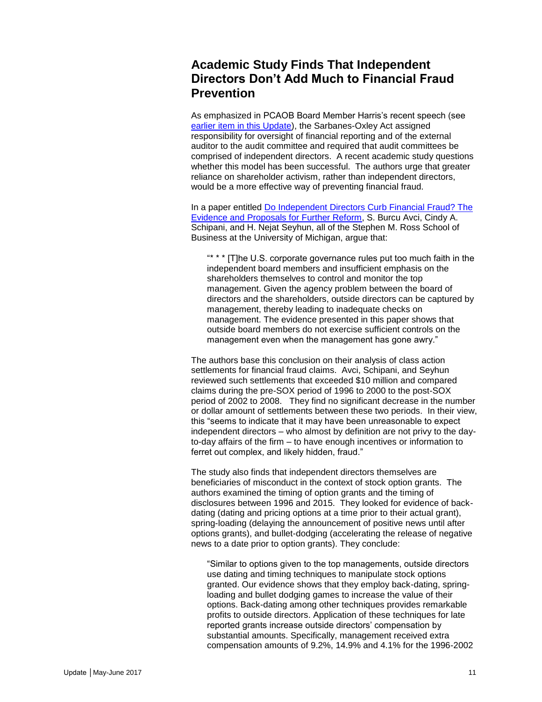# <span id="page-10-0"></span>**Academic Study Finds That Independent Directors Don't Add Much to Financial Fraud Prevention**

As emphasized in PCAOB Board Member Harris's recent speech (see [earlier item in this Update\)](#page-6-0), the Sarbanes-Oxley Act assigned responsibility for oversight of financial reporting and of the external auditor to the audit committee and required that audit committees be comprised of independent directors. A recent academic study questions whether this model has been successful. The authors urge that greater reliance on shareholder activism, rather than independent directors, would be a more effective way of preventing financial fraud.

In a paper entitled [Do Independent Directors Curb Financial Fraud? The](https://papers.ssrn.com/sol3/papers.cfm?abstract_id=2941507)  [Evidence and Proposals for Further Reform,](https://papers.ssrn.com/sol3/papers.cfm?abstract_id=2941507) S. Burcu Avci, Cindy A. Schipani, and H. Nejat Seyhun, all of the Stephen M. Ross School of Business at the University of Michigan, argue that:

"\* \* \* [T]he U.S. corporate governance rules put too much faith in the independent board members and insufficient emphasis on the shareholders themselves to control and monitor the top management. Given the agency problem between the board of directors and the shareholders, outside directors can be captured by management, thereby leading to inadequate checks on management. The evidence presented in this paper shows that outside board members do not exercise sufficient controls on the management even when the management has gone awry."

The authors base this conclusion on their analysis of class action settlements for financial fraud claims. Avci, Schipani, and Seyhun reviewed such settlements that exceeded \$10 million and compared claims during the pre-SOX period of 1996 to 2000 to the post-SOX period of 2002 to 2008. They find no significant decrease in the number or dollar amount of settlements between these two periods. In their view, this "seems to indicate that it may have been unreasonable to expect independent directors – who almost by definition are not privy to the dayto-day affairs of the firm – to have enough incentives or information to ferret out complex, and likely hidden, fraud."

The study also finds that independent directors themselves are beneficiaries of misconduct in the context of stock option grants. The authors examined the timing of option grants and the timing of disclosures between 1996 and 2015. They looked for evidence of backdating (dating and pricing options at a time prior to their actual grant), spring-loading (delaying the announcement of positive news until after options grants), and bullet-dodging (accelerating the release of negative news to a date prior to option grants). They conclude:

"Similar to options given to the top managements, outside directors use dating and timing techniques to manipulate stock options granted. Our evidence shows that they employ back-dating, springloading and bullet dodging games to increase the value of their options. Back-dating among other techniques provides remarkable profits to outside directors. Application of these techniques for late reported grants increase outside directors' compensation by substantial amounts. Specifically, management received extra compensation amounts of 9.2%, 14.9% and 4.1% for the 1996-2002